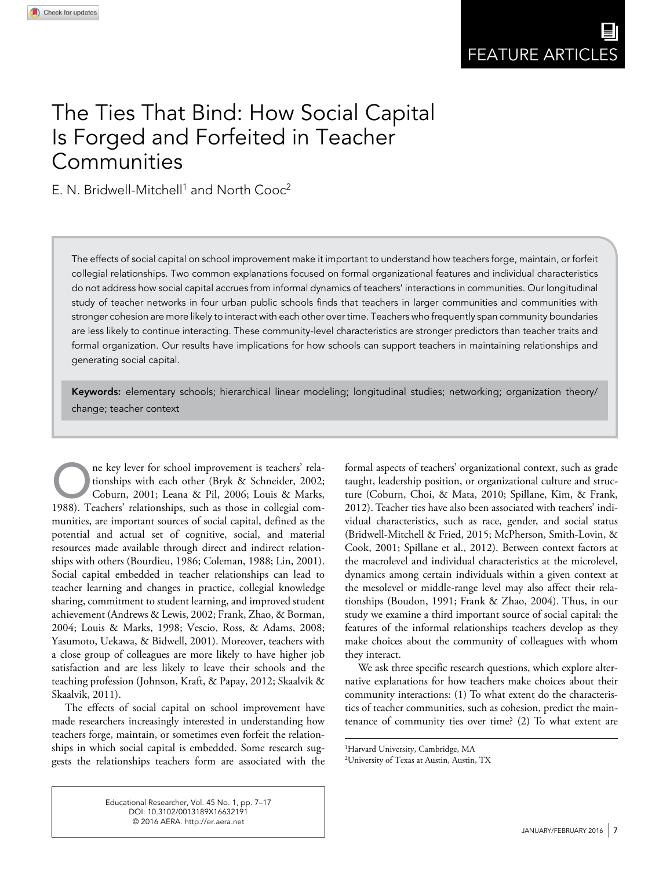# The Ties That Bind: How Social Capital Is Forged and Forfeited in Teacher **Communities**

E. N. Bridwell-Mitchell<sup>1</sup> and North Cooc<sup>2</sup>

The effects of social capital on school improvement make it important to understand how teachers forge, maintain, or forfeit collegial relationships. Two common explanations focused on formal organizational features and individual characteristics do not address how social capital accrues from informal dynamics of teachers' interactions in communities. Our longitudinal study of teacher networks in four urban public schools finds that teachers in larger communities and communities with stronger cohesion are more likely to interact with each other over time. Teachers who frequently span community boundaries are less likely to continue interacting. These community-level characteristics are stronger predictors than teacher traits and formal organization. Our results have implications for how schools can support teachers in maintaining relationships and generating social capital.

Keywords: elementary schools; hierarchical linear modeling; longitudinal studies; networking; organization theory/ change; teacher context

ne key lever for school improvement is teachers' relationships with each other (Bryk & Schneider, 2002; Coburn, 2001; Leana & Pil, 2006; Louis & Marks, 1988). Teachers' relationships, such as those in collegial communities, are important sources of social capital, defined as the potential and actual set of cognitive, social, and material resources made available through direct and indirect relationships with others (Bourdieu, 1986; Coleman, 1988; Lin, 2001). Social capital embedded in teacher relationships can lead to teacher learning and changes in practice, collegial knowledge sharing, commitment to student learning, and improved student achievement (Andrews & Lewis, 2002; Frank, Zhao, & Borman, 2004; Louis & Marks, 1998; Vescio, Ross, & Adams, 2008; Yasumoto, Uekawa, & Bidwell, 2001). Moreover, teachers with a close group of colleagues are more likely to have higher job satisfaction and are less likely to leave their schools and the teaching profession (Johnson, Kraft, & Papay, 2012; Skaalvik & Skaalvik, 2011).

The effects of social capital on school improvement have made researchers increasingly interested in understanding how teachers forge, maintain, or sometimes even forfeit the relationships in which social capital is embedded. Some research suggests the relationships teachers form are associated with the

formal aspects of teachers' organizational context, such as grade taught, leadership position, or organizational culture and structure (Coburn, Choi, & Mata, 2010; Spillane, Kim, & Frank, 2012). Teacher ties have also been associated with teachers' individual characteristics, such as race, gender, and social status (Bridwell-Mitchell & Fried, 2015; McPherson, Smith-Lovin, & Cook, 2001; Spillane et al., 2012). Between context factors at the macrolevel and individual characteristics at the microlevel, dynamics among certain individuals within a given context at the mesolevel or middle-range level may also affect their relationships (Boudon, 1991; Frank & Zhao, 2004). Thus, in our study we examine a third important source of social capital: the features of the informal relationships teachers develop as they make choices about the community of colleagues with whom they interact.

We ask three specific research questions, which explore alternative explanations for how teachers make choices about their community interactions: (1) To what extent do the characteristics of teacher communities, such as cohesion, predict the maintenance of community ties over time? (2) To what extent are

Educational Researcher, Vol. 45 No. 1, pp. 7–17 DOI: 10.3102/0013189X16632191 © 2016 AERA. http://er.aera.net

<sup>&</sup>lt;sup>1</sup>Harvard University, Cambridge, MA

<sup>2</sup> University of Texas at Austin, Austin, TX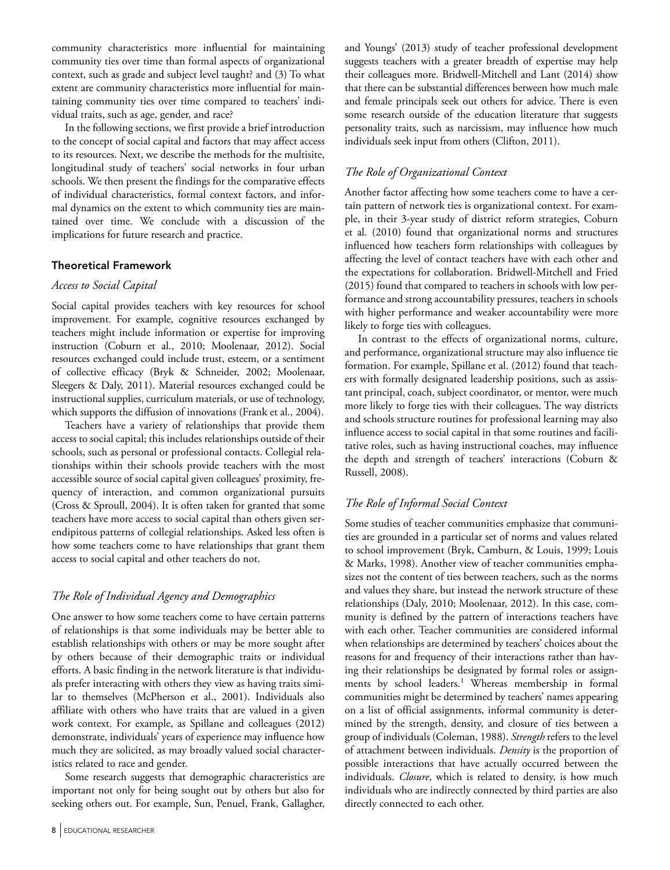community characteristics more influential for maintaining community ties over time than formal aspects of organizational context, such as grade and subject level taught? and (3) To what extent are community characteristics more influential for maintaining community ties over time compared to teachers' individual traits, such as age, gender, and race?

In the following sections, we first provide a brief introduction to the concept of social capital and factors that may affect access to its resources. Next, we describe the methods for the multisite, longitudinal study of teachers' social networks in four urban schools. We then present the findings for the comparative effects of individual characteristics, formal context factors, and informal dynamics on the extent to which community ties are maintained over time. We conclude with a discussion of the implications for future research and practice.

# Theoretical Framework

## *Access to Social Capital*

Social capital provides teachers with key resources for school improvement. For example, cognitive resources exchanged by teachers might include information or expertise for improving instruction (Coburn et al., 2010; Moolenaar, 2012). Social resources exchanged could include trust, esteem, or a sentiment of collective efficacy (Bryk & Schneider, 2002; Moolenaar, Sleegers & Daly, 2011). Material resources exchanged could be instructional supplies, curriculum materials, or use of technology, which supports the diffusion of innovations (Frank et al., 2004).

Teachers have a variety of relationships that provide them access to social capital; this includes relationships outside of their schools, such as personal or professional contacts. Collegial relationships within their schools provide teachers with the most accessible source of social capital given colleagues' proximity, frequency of interaction, and common organizational pursuits (Cross & Sproull, 2004). It is often taken for granted that some teachers have more access to social capital than others given serendipitous patterns of collegial relationships. Asked less often is how some teachers come to have relationships that grant them access to social capital and other teachers do not.

# *The Role of Individual Agency and Demographics*

One answer to how some teachers come to have certain patterns of relationships is that some individuals may be better able to establish relationships with others or may be more sought after by others because of their demographic traits or individual efforts. A basic finding in the network literature is that individuals prefer interacting with others they view as having traits similar to themselves (McPherson et al., 2001). Individuals also affiliate with others who have traits that are valued in a given work context. For example, as Spillane and colleagues (2012) demonstrate, individuals' years of experience may influence how much they are solicited, as may broadly valued social characteristics related to race and gender.

Some research suggests that demographic characteristics are important not only for being sought out by others but also for seeking others out. For example, Sun, Penuel, Frank, Gallagher, and Youngs' (2013) study of teacher professional development suggests teachers with a greater breadth of expertise may help their colleagues more. Bridwell-Mitchell and Lant (2014) show that there can be substantial differences between how much male and female principals seek out others for advice. There is even some research outside of the education literature that suggests personality traits, such as narcissism, may influence how much individuals seek input from others (Clifton, 2011).

## *The Role of Organizational Context*

Another factor affecting how some teachers come to have a certain pattern of network ties is organizational context. For example, in their 3-year study of district reform strategies, Coburn et al. (2010) found that organizational norms and structures influenced how teachers form relationships with colleagues by affecting the level of contact teachers have with each other and the expectations for collaboration. Bridwell-Mitchell and Fried (2015) found that compared to teachers in schools with low performance and strong accountability pressures, teachers in schools with higher performance and weaker accountability were more likely to forge ties with colleagues.

In contrast to the effects of organizational norms, culture, and performance, organizational structure may also influence tie formation. For example, Spillane et al. (2012) found that teachers with formally designated leadership positions, such as assistant principal, coach, subject coordinator, or mentor, were much more likely to forge ties with their colleagues. The way districts and schools structure routines for professional learning may also influence access to social capital in that some routines and facilitative roles, such as having instructional coaches, may influence the depth and strength of teachers' interactions (Coburn & Russell, 2008).

# *The Role of Informal Social Context*

Some studies of teacher communities emphasize that communities are grounded in a particular set of norms and values related to school improvement (Bryk, Camburn, & Louis, 1999; Louis & Marks, 1998). Another view of teacher communities emphasizes not the content of ties between teachers, such as the norms and values they share, but instead the network structure of these relationships (Daly, 2010; Moolenaar, 2012). In this case, community is defined by the pattern of interactions teachers have with each other. Teacher communities are considered informal when relationships are determined by teachers' choices about the reasons for and frequency of their interactions rather than having their relationships be designated by formal roles or assignments by school leaders.<sup>1</sup> Whereas membership in formal communities might be determined by teachers' names appearing on a list of official assignments, informal community is determined by the strength, density, and closure of ties between a group of individuals (Coleman, 1988). *Strength* refers to the level of attachment between individuals. *Density* is the proportion of possible interactions that have actually occurred between the individuals. *Closure*, which is related to density, is how much individuals who are indirectly connected by third parties are also directly connected to each other.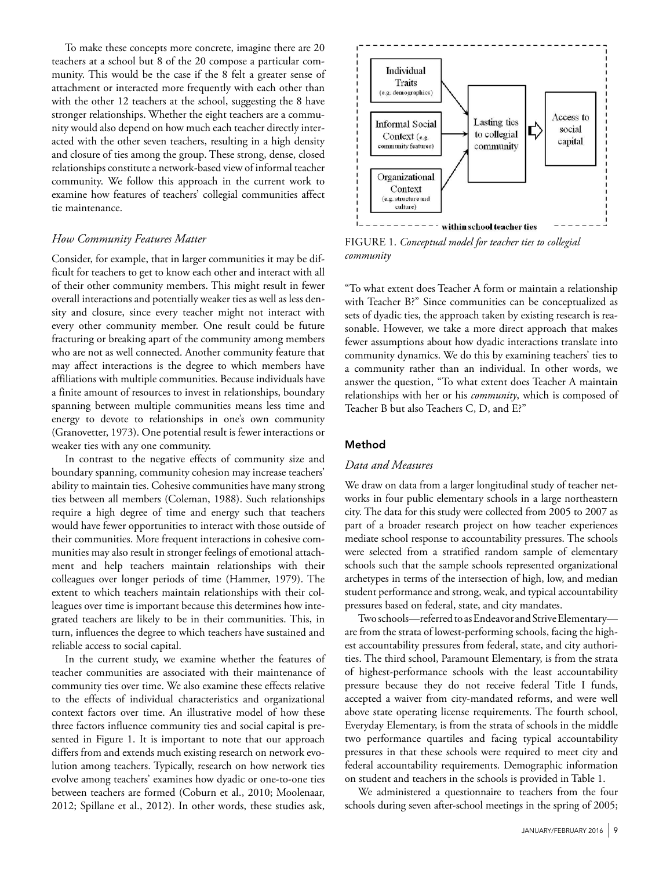To make these concepts more concrete, imagine there are 20 teachers at a school but 8 of the 20 compose a particular community. This would be the case if the 8 felt a greater sense of attachment or interacted more frequently with each other than with the other 12 teachers at the school, suggesting the 8 have stronger relationships. Whether the eight teachers are a community would also depend on how much each teacher directly interacted with the other seven teachers, resulting in a high density and closure of ties among the group. These strong, dense, closed relationships constitute a network-based view of informal teacher community. We follow this approach in the current work to examine how features of teachers' collegial communities affect tie maintenance.

## *How Community Features Matter*

Consider, for example, that in larger communities it may be difficult for teachers to get to know each other and interact with all of their other community members. This might result in fewer overall interactions and potentially weaker ties as well as less density and closure, since every teacher might not interact with every other community member. One result could be future fracturing or breaking apart of the community among members who are not as well connected. Another community feature that may affect interactions is the degree to which members have affiliations with multiple communities. Because individuals have a finite amount of resources to invest in relationships, boundary spanning between multiple communities means less time and energy to devote to relationships in one's own community (Granovetter, 1973). One potential result is fewer interactions or weaker ties with any one community.

In contrast to the negative effects of community size and boundary spanning, community cohesion may increase teachers' ability to maintain ties. Cohesive communities have many strong ties between all members (Coleman, 1988). Such relationships require a high degree of time and energy such that teachers would have fewer opportunities to interact with those outside of their communities. More frequent interactions in cohesive communities may also result in stronger feelings of emotional attachment and help teachers maintain relationships with their colleagues over longer periods of time (Hammer, 1979). The extent to which teachers maintain relationships with their colleagues over time is important because this determines how integrated teachers are likely to be in their communities. This, in turn, influences the degree to which teachers have sustained and reliable access to social capital.

In the current study, we examine whether the features of teacher communities are associated with their maintenance of community ties over time. We also examine these effects relative to the effects of individual characteristics and organizational context factors over time. An illustrative model of how these three factors influence community ties and social capital is presented in Figure 1. It is important to note that our approach differs from and extends much existing research on network evolution among teachers. Typically, research on how network ties evolve among teachers' examines how dyadic or one-to-one ties between teachers are formed (Coburn et al., 2010; Moolenaar, 2012; Spillane et al., 2012). In other words, these studies ask,



FIGURE 1. *Conceptual model for teacher ties to collegial community*

"To what extent does Teacher A form or maintain a relationship with Teacher B?" Since communities can be conceptualized as sets of dyadic ties, the approach taken by existing research is reasonable. However, we take a more direct approach that makes fewer assumptions about how dyadic interactions translate into community dynamics. We do this by examining teachers' ties to a community rather than an individual. In other words, we answer the question, "To what extent does Teacher A maintain relationships with her or his *community*, which is composed of Teacher B but also Teachers C, D, and E?"

# Method

## *Data and Measures*

We draw on data from a larger longitudinal study of teacher networks in four public elementary schools in a large northeastern city. The data for this study were collected from 2005 to 2007 as part of a broader research project on how teacher experiences mediate school response to accountability pressures. The schools were selected from a stratified random sample of elementary schools such that the sample schools represented organizational archetypes in terms of the intersection of high, low, and median student performance and strong, weak, and typical accountability pressures based on federal, state, and city mandates.

Two schools—referred to as Endeavor and Strive Elementary are from the strata of lowest-performing schools, facing the highest accountability pressures from federal, state, and city authorities. The third school, Paramount Elementary, is from the strata of highest-performance schools with the least accountability pressure because they do not receive federal Title I funds, accepted a waiver from city-mandated reforms, and were well above state operating license requirements. The fourth school, Everyday Elementary, is from the strata of schools in the middle two performance quartiles and facing typical accountability pressures in that these schools were required to meet city and federal accountability requirements. Demographic information on student and teachers in the schools is provided in Table 1.

We administered a questionnaire to teachers from the four schools during seven after-school meetings in the spring of 2005;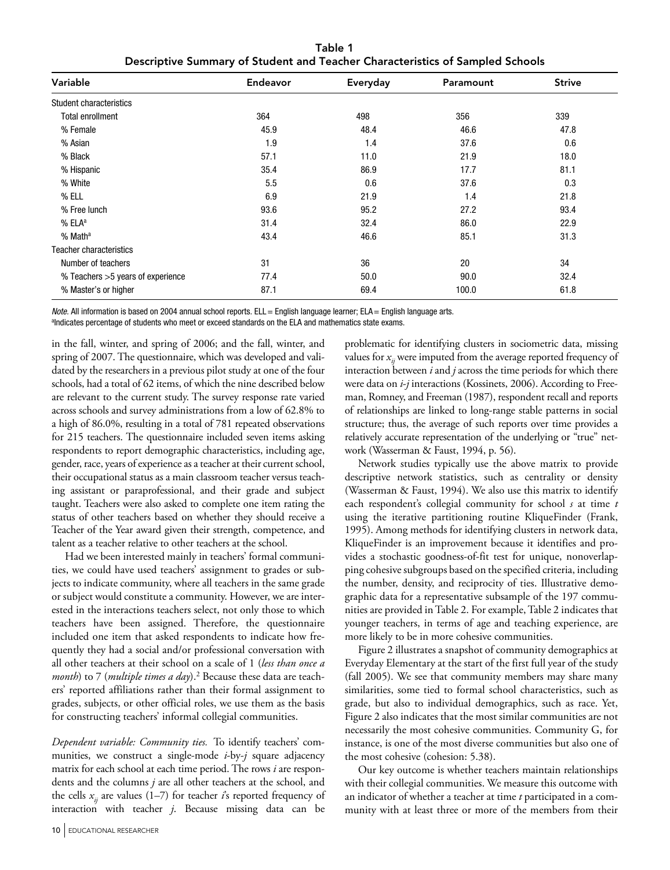|                                                                               | Table 1 |  |  |
|-------------------------------------------------------------------------------|---------|--|--|
| Descriptive Summary of Student and Teacher Characteristics of Sampled Schools |         |  |  |

| Variable                           | Endeavor | Everyday | Paramount | <b>Strive</b> |
|------------------------------------|----------|----------|-----------|---------------|
| Student characteristics            |          |          |           |               |
| <b>Total enrollment</b>            | 364      | 498      | 356       | 339           |
| % Female                           | 45.9     | 48.4     | 46.6      | 47.8          |
| % Asian                            | 1.9      | 1.4      | 37.6      | 0.6           |
| % Black                            | 57.1     | 11.0     | 21.9      | 18.0          |
| % Hispanic                         | 35.4     | 86.9     | 17.7      | 81.1          |
| % White                            | 5.5      | 0.6      | 37.6      | 0.3           |
| % ELL                              | 6.9      | 21.9     | 1.4       | 21.8          |
| % Free lunch                       | 93.6     | 95.2     | 27.2      | 93.4          |
| % ELA <sup>a</sup>                 | 31.4     | 32.4     | 86.0      | 22.9          |
| % Math <sup>a</sup>                | 43.4     | 46.6     | 85.1      | 31.3          |
| <b>Teacher characteristics</b>     |          |          |           |               |
| Number of teachers                 | 31       | 36       | 20        | 34            |
| % Teachers > 5 years of experience | 77.4     | 50.0     | 90.0      | 32.4          |
| % Master's or higher               | 87.1     | 69.4     | 100.0     | 61.8          |
|                                    |          |          |           |               |

*Note.* All information is based on 2004 annual school reports. ELL = English language learner; ELA = English language arts.

a Indicates percentage of students who meet or exceed standards on the ELA and mathematics state exams.

in the fall, winter, and spring of 2006; and the fall, winter, and spring of 2007. The questionnaire, which was developed and validated by the researchers in a previous pilot study at one of the four schools, had a total of 62 items, of which the nine described below are relevant to the current study. The survey response rate varied across schools and survey administrations from a low of 62.8% to a high of 86.0%, resulting in a total of 781 repeated observations for 215 teachers. The questionnaire included seven items asking respondents to report demographic characteristics, including age, gender, race, years of experience as a teacher at their current school, their occupational status as a main classroom teacher versus teaching assistant or paraprofessional, and their grade and subject taught. Teachers were also asked to complete one item rating the status of other teachers based on whether they should receive a Teacher of the Year award given their strength, competence, and talent as a teacher relative to other teachers at the school.

Had we been interested mainly in teachers' formal communities, we could have used teachers' assignment to grades or subjects to indicate community, where all teachers in the same grade or subject would constitute a community. However, we are interested in the interactions teachers select, not only those to which teachers have been assigned. Therefore, the questionnaire included one item that asked respondents to indicate how frequently they had a social and/or professional conversation with all other teachers at their school on a scale of 1 (*less than once a month*) to 7 (*multiple times a day*).<sup>2</sup> Because these data are teachers' reported affiliations rather than their formal assignment to grades, subjects, or other official roles, we use them as the basis for constructing teachers' informal collegial communities.

*Dependent variable: Community ties.* To identify teachers' communities, we construct a single-mode *i*-by-*j* square adjacency matrix for each school at each time period. The rows *i* are respondents and the columns *j* are all other teachers at the school, and the cells  $x_{ij}$  are values (1–7) for teacher *i*'s reported frequency of interaction with teacher *j*. Because missing data can be

10 | EDUCATIONAL RESEARCHER

problematic for identifying clusters in sociometric data, missing values for  $x_i$  were imputed from the average reported frequency of interaction between *i* and *j* across the time periods for which there were data on *i*-*j* interactions (Kossinets, 2006). According to Freeman, Romney, and Freeman (1987), respondent recall and reports of relationships are linked to long-range stable patterns in social structure; thus, the average of such reports over time provides a relatively accurate representation of the underlying or "true" network (Wasserman & Faust, 1994, p. 56).

Network studies typically use the above matrix to provide descriptive network statistics, such as centrality or density (Wasserman & Faust, 1994). We also use this matrix to identify each respondent's collegial community for school *s* at time *t* using the iterative partitioning routine KliqueFinder (Frank, 1995). Among methods for identifying clusters in network data, KliqueFinder is an improvement because it identifies and provides a stochastic goodness-of-fit test for unique, nonoverlapping cohesive subgroups based on the specified criteria, including the number, density, and reciprocity of ties. Illustrative demographic data for a representative subsample of the 197 communities are provided in Table 2. For example, Table 2 indicates that younger teachers, in terms of age and teaching experience, are more likely to be in more cohesive communities.

Figure 2 illustrates a snapshot of community demographics at Everyday Elementary at the start of the first full year of the study (fall 2005). We see that community members may share many similarities, some tied to formal school characteristics, such as grade, but also to individual demographics, such as race. Yet, Figure 2 also indicates that the most similar communities are not necessarily the most cohesive communities. Community G, for instance, is one of the most diverse communities but also one of the most cohesive (cohesion: 5.38).

Our key outcome is whether teachers maintain relationships with their collegial communities. We measure this outcome with an indicator of whether a teacher at time *t* participated in a community with at least three or more of the members from their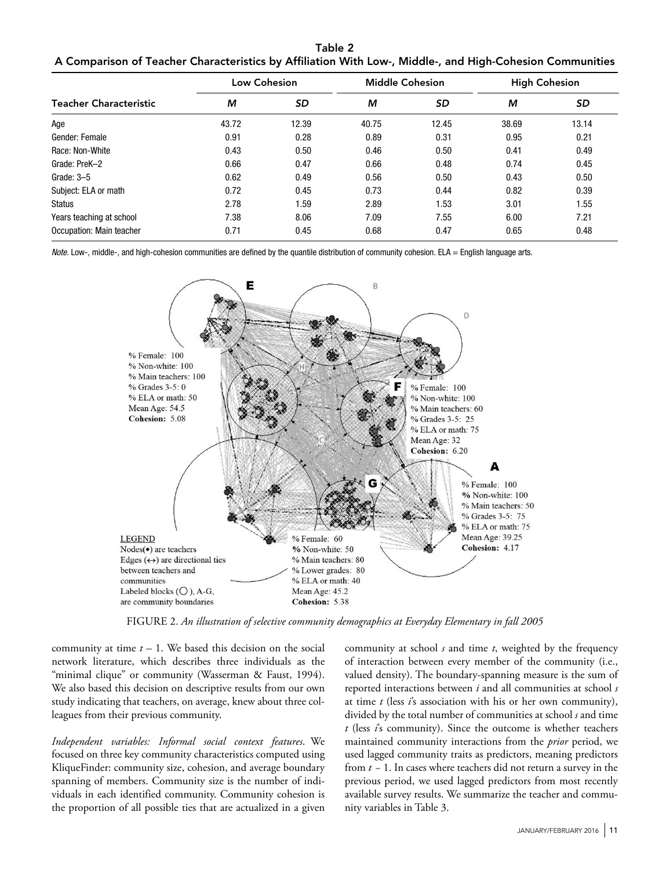Table 2 A Comparison of Teacher Characteristics by Affiliation With Low-, Middle-, and High-Cohesion Communities

|                               |       | Low Cohesion | <b>Middle Cohesion</b> |           | <b>High Cohesion</b> |       |  |
|-------------------------------|-------|--------------|------------------------|-----------|----------------------|-------|--|
| <b>Teacher Characteristic</b> | М     | SD           | М                      | <b>SD</b> | М                    | SD    |  |
| Age                           | 43.72 | 12.39        | 40.75                  | 12.45     | 38.69                | 13.14 |  |
| Gender: Female                | 0.91  | 0.28         | 0.89                   | 0.31      | 0.95                 | 0.21  |  |
| Race: Non-White               | 0.43  | 0.50         | 0.46                   | 0.50      | 0.41                 | 0.49  |  |
| Grade: PreK-2                 | 0.66  | 0.47         | 0.66                   | 0.48      | 0.74                 | 0.45  |  |
| Grade: $3-5$                  | 0.62  | 0.49         | 0.56                   | 0.50      | 0.43                 | 0.50  |  |
| Subject: ELA or math          | 0.72  | 0.45         | 0.73                   | 0.44      | 0.82                 | 0.39  |  |
| <b>Status</b>                 | 2.78  | 1.59         | 2.89                   | 1.53      | 3.01                 | 1.55  |  |
| Years teaching at school      | 7.38  | 8.06         | 7.09                   | 7.55      | 6.00                 | 7.21  |  |
| Occupation: Main teacher      | 0.71  | 0.45         | 0.68                   | 0.47      | 0.65                 | 0.48  |  |

*Note.* Low-, middle-, and high-cohesion communities are defined by the quantile distribution of community cohesion. ELA = English language arts.



Figure 2. *An illustration of selective community demographics at Everyday Elementary in fall 2005*

community at time *t –* 1. We based this decision on the social network literature, which describes three individuals as the "minimal clique" or community (Wasserman & Faust, 1994). We also based this decision on descriptive results from our own study indicating that teachers, on average, knew about three colleagues from their previous community.

*Independent variables: Informal social context features*. We focused on three key community characteristics computed using KliqueFinder: community size, cohesion, and average boundary spanning of members. Community size is the number of individuals in each identified community. Community cohesion is the proportion of all possible ties that are actualized in a given community at school *s* and time *t*, weighted by the frequency of interaction between every member of the community (i.e., valued density). The boundary-spanning measure is the sum of reported interactions between *i* and all communities at school *s* at time *t* (less *i*'s association with his or her own community), divided by the total number of communities at school *s* and time *t* (less *i*'s community). Since the outcome is whether teachers maintained community interactions from the *prior* period, we used lagged community traits as predictors, meaning predictors from *t* − 1. In cases where teachers did not return a survey in the previous period, we used lagged predictors from most recently available survey results. We summarize the teacher and community variables in Table 3.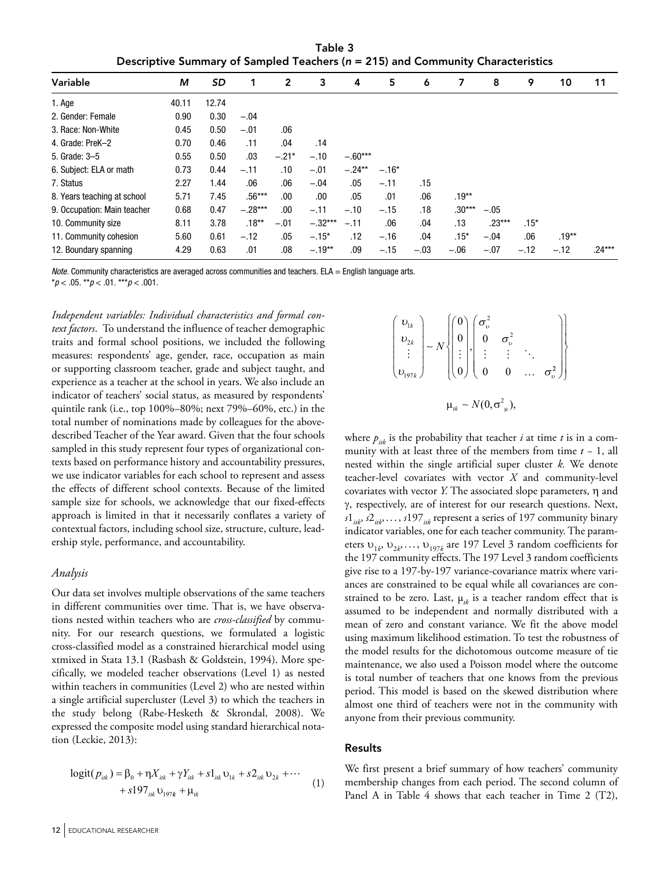Table 3 Descriptive Summary of Sampled Teachers (*n* = 215) and Community Characteristics

| Variable                    | М     | <b>SD</b> | 1         | 2       | 3         | 4         | 5       | 6      | 7        | 8        | 9      | 10       | 11       |
|-----------------------------|-------|-----------|-----------|---------|-----------|-----------|---------|--------|----------|----------|--------|----------|----------|
| 1. Age                      | 40.11 | 12.74     |           |         |           |           |         |        |          |          |        |          |          |
| 2. Gender: Female           | 0.90  | 0.30      | $-.04$    |         |           |           |         |        |          |          |        |          |          |
| 3. Race: Non-White          | 0.45  | 0.50      | $-.01$    | .06     |           |           |         |        |          |          |        |          |          |
| 4. Grade: PreK-2            | 0.70  | 0.46      | .11       | .04     | .14       |           |         |        |          |          |        |          |          |
| 5. Grade: 3-5               | 0.55  | 0.50      | .03       | $-.21*$ | $-.10$    | $-.60***$ |         |        |          |          |        |          |          |
| 6. Subject: ELA or math     | 0.73  | 0.44      | $-.11$    | .10     | $-.01$    | $-.24***$ | $-.16*$ |        |          |          |        |          |          |
| 7. Status                   | 2.27  | 1.44      | .06       | .06     | $-.04$    | .05       | $-.11$  | .15    |          |          |        |          |          |
| 8. Years teaching at school | 5.71  | 7.45      | $.56***$  | .00     | .00       | .05       | .01     | .06    | $.19***$ |          |        |          |          |
| 9. Occupation: Main teacher | 0.68  | 0.47      | $-.28***$ | .00     | $-.11$    | $-.10$    | $-.15$  | .18    | $.30***$ | $-.05$   |        |          |          |
| 10. Community size          | 8.11  | 3.78      | $.18***$  | $-.01$  | $-.32***$ | $-.11$    | .06     | .04    | .13      | $.23***$ | $.15*$ |          |          |
| 11. Community cohesion      | 5.60  | 0.61      | $-.12$    | .05     | $-.15*$   | .12       | $-.16$  | .04    | $.15*$   | $-.04$   | .06    | $.19***$ |          |
| 12. Boundary spanning       | 4.29  | 0.63      | .01       | .08     | $-.19***$ | .09       | $-.15$  | $-.03$ | $-.06$   | $-.07$   | $-.12$ | $-.12$   | $.24***$ |
|                             |       |           |           |         |           |           |         |        |          |          |        |          |          |

*Note.* Community characteristics are averaged across communities and teachers. ELA = English language arts.

\**p* < .05. \*\**p* < .01. \*\*\**p* < .001.

*Independent variables: Individual characteristics and formal context factors*. To understand the influence of teacher demographic traits and formal school positions, we included the following measures: respondents' age, gender, race, occupation as main or supporting classroom teacher, grade and subject taught, and experience as a teacher at the school in years. We also include an indicator of teachers' social status, as measured by respondents' quintile rank (i.e., top 100%–80%; next 79%–60%, etc.) in the total number of nominations made by colleagues for the abovedescribed Teacher of the Year award. Given that the four schools sampled in this study represent four types of organizational contexts based on performance history and accountability pressures, we use indicator variables for each school to represent and assess the effects of different school contexts. Because of the limited sample size for schools, we acknowledge that our fixed-effects approach is limited in that it necessarily conflates a variety of contextual factors, including school size, structure, culture, leadership style, performance, and accountability.

#### *Analysis*

Our data set involves multiple observations of the same teachers in different communities over time. That is, we have observations nested within teachers who are *cross-classified* by community. For our research questions, we formulated a logistic cross-classified model as a constrained hierarchical model using xtmixed in Stata 13.1 (Rasbash & Goldstein, 1994). More specifically, we modeled teacher observations (Level 1) as nested within teachers in communities (Level 2) who are nested within a single artificial supercluster (Level 3) to which the teachers in the study belong (Rabe-Hesketh & Skrondal, 2008). We expressed the composite model using standard hierarchical notation (Leckie, 2013):

$$
logit(p_{ik}) = \beta_0 + \eta X_{ik} + \gamma Y_{ik} + s1_{ik} v_{1k} + s2_{ik} v_{2k} + \cdots
$$
  
+  $s197_{ik} v_{197k} + \mu_{ik}$  (1)

$$
\begin{pmatrix}\nv_{1k} \\
v_{2k} \\
\vdots \\
v_{197k}\n\end{pmatrix} \sim N \begin{pmatrix}\n0 \\
0 \\
\vdots \\
0\n\end{pmatrix}, \begin{pmatrix}\n\sigma_v^2 \\
0 & \sigma_v^2 \\
\vdots & \vdots & \ddots \\
0 & 0 & \dots & \sigma_v^2\n\end{pmatrix}
$$
\n
$$
\mu_{ik} \sim N(0, \sigma_{\mu}^2),
$$

where  $p_{ijk}$  is the probability that teacher *i* at time *t* is in a community with at least three of the members from time *t* − 1, all nested within the single artificial super cluster *k.* We denote teacher-level covariates with vector *X* and community-level covariates with vector *Y.* The associated slope parameters, η and γ, respectively, are of interest for our research questions. Next,  $s1_{itb}$ ,  $s2_{itb}$ , ...,  $s197_{itb}$  represent a series of 197 community binary indicator variables, one for each teacher community. The parameters  $v_{1k}$ ,  $v_{2k}$ ,...,  $v_{197k}$  are 197 Level 3 random coefficients for the 197 community effects. The 197 Level 3 random coefficients give rise to a 197-by-197 variance-covariance matrix where variances are constrained to be equal while all covariances are constrained to be zero. Last,  $\mu_{ik}$  is a teacher random effect that is assumed to be independent and normally distributed with a mean of zero and constant variance. We fit the above model using maximum likelihood estimation. To test the robustness of the model results for the dichotomous outcome measure of tie maintenance, we also used a Poisson model where the outcome is total number of teachers that one knows from the previous period. This model is based on the skewed distribution where almost one third of teachers were not in the community with anyone from their previous community.

# Results

We first present a brief summary of how teachers' community membership changes from each period. The second column of Panel A in Table 4 shows that each teacher in Time 2 (T2),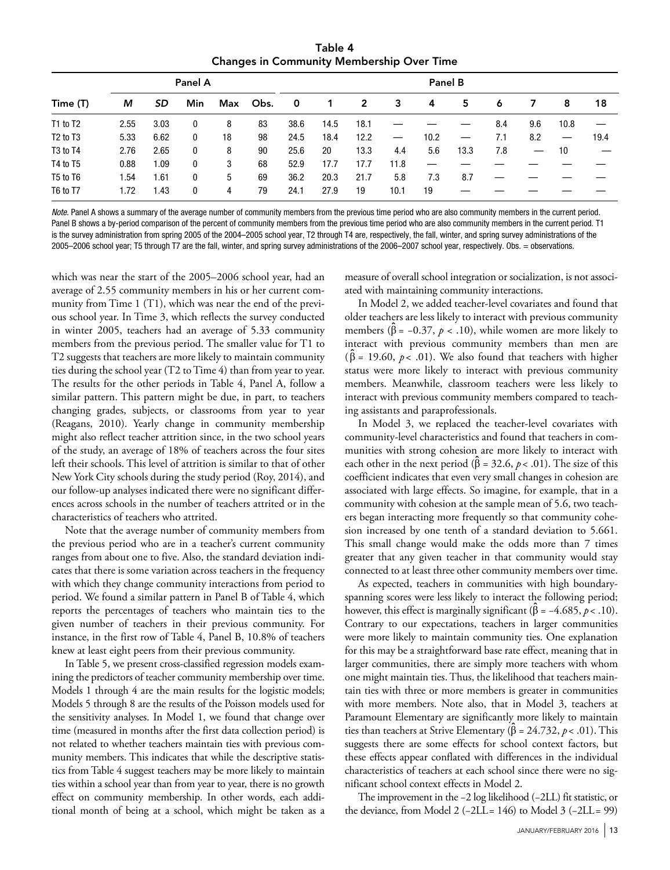Table 4 Changes in Community Membership Over Time

| Panel A                          |      |           |     |     |      | Panel B     |      |      |                                 |      |                          |     |     |      |      |  |
|----------------------------------|------|-----------|-----|-----|------|-------------|------|------|---------------------------------|------|--------------------------|-----|-----|------|------|--|
| Time (T)                         | м    | <b>SD</b> | Min | Max | Obs. | $\mathbf 0$ |      | 2    | 3                               | 4    | 5                        | 6   | 7   | 8    | 18   |  |
| T1 to T2                         | 2.55 | 3.03      | 0   | 8   | 83   | 38.6        | 14.5 | 18.1 |                                 |      |                          | 8.4 | 9.6 | 10.8 |      |  |
| T <sub>2</sub> to T <sub>3</sub> | 5.33 | 6.62      | 0   | 18  | 98   | 24.5        | 18.4 | 12.2 | $\hspace{0.1mm}-\hspace{0.1mm}$ | 10.2 | $\overline{\phantom{m}}$ | 7.1 | 8.2 |      | 19.4 |  |
| T <sub>3</sub> to T <sub>4</sub> | 2.76 | 2.65      | 0   | 8   | 90   | 25.6        | 20   | 13.3 | 4.4                             | 5.6  | 13.3                     | 7.8 |     | 10   |      |  |
| T <sub>4</sub> to T <sub>5</sub> | 0.88 | 1.09      | 0   | 3   | 68   | 52.9        | 17.7 | 17.7 | 11.8                            |      |                          |     |     |      |      |  |
| T5 to T6                         | l.54 | 1.61      | 0   | 5   | 69   | 36.2        | 20.3 | 21.7 | 5.8                             | 7.3  | 8.7                      |     |     |      |      |  |
| T6 to T7                         | 1.72 | 1.43      | 0   | 4   | 79   | 24.1        | 27.9 | 19   | 10.1                            | 19   |                          |     |     |      |      |  |

*Note.* Panel A shows a summary of the average number of community members from the previous time period who are also community members in the current period. Panel B shows a by-period comparison of the percent of community members from the previous time period who are also community members in the current period. T1 is the survey administration from spring 2005 of the 2004–2005 school year, T2 through T4 are, respectively, the fall, winter, and spring survey administrations of the 2005–2006 school year; T5 through T7 are the fall, winter, and spring survey administrations of the 2006–2007 school year, respectively. Obs. = observations.

which was near the start of the 2005–2006 school year, had an average of 2.55 community members in his or her current community from Time 1 (T1), which was near the end of the previous school year. In Time 3, which reflects the survey conducted in winter 2005, teachers had an average of 5.33 community members from the previous period. The smaller value for T1 to T2 suggests that teachers are more likely to maintain community ties during the school year (T2 to Time 4) than from year to year. The results for the other periods in Table 4, Panel A, follow a similar pattern. This pattern might be due, in part, to teachers changing grades, subjects, or classrooms from year to year (Reagans, 2010). Yearly change in community membership might also reflect teacher attrition since, in the two school years of the study, an average of 18% of teachers across the four sites left their schools. This level of attrition is similar to that of other New York City schools during the study period (Roy, 2014), and our follow-up analyses indicated there were no significant differences across schools in the number of teachers attrited or in the characteristics of teachers who attrited.

Note that the average number of community members from the previous period who are in a teacher's current community ranges from about one to five. Also, the standard deviation indicates that there is some variation across teachers in the frequency with which they change community interactions from period to period. We found a similar pattern in Panel B of Table 4, which reports the percentages of teachers who maintain ties to the given number of teachers in their previous community. For instance, in the first row of Table 4, Panel B, 10.8% of teachers knew at least eight peers from their previous community.

In Table 5, we present cross-classified regression models examining the predictors of teacher community membership over time. Models 1 through 4 are the main results for the logistic models; Models 5 through 8 are the results of the Poisson models used for the sensitivity analyses. In Model 1, we found that change over time (measured in months after the first data collection period) is not related to whether teachers maintain ties with previous community members. This indicates that while the descriptive statistics from Table 4 suggest teachers may be more likely to maintain ties within a school year than from year to year, there is no growth effect on community membership. In other words, each additional month of being at a school, which might be taken as a

measure of overall school integration or socialization, is not associated with maintaining community interactions.

In Model 2, we added teacher-level covariates and found that older teachers are less likely to interact with previous community members ( $\beta$  = -0.37,  $p$  < .10), while women are more likely to interact with previous community members than men are (β**ˆ** = 19.60, *p* < .01). We also found that teachers with higher status were more likely to interact with previous community members. Meanwhile, classroom teachers were less likely to interact with previous community members compared to teaching assistants and paraprofessionals.

In Model 3, we replaced the teacher-level covariates with community-level characteristics and found that teachers in communities with strong cohesion are more likely to interact with each other in the next period ( $\beta$  = 32.6,  $p$  < .01). The size of this coefficient indicates that even very small changes in cohesion are associated with large effects. So imagine, for example, that in a community with cohesion at the sample mean of 5.6, two teachers began interacting more frequently so that community cohesion increased by one tenth of a standard deviation to 5.661. This small change would make the odds more than 7 times greater that any given teacher in that community would stay connected to at least three other community members over time.

As expected, teachers in communities with high boundaryspanning scores were less likely to interact the following period; however, this effect is marginally significant ( $β = -4.685, p < .10$ ). Contrary to our expectations, teachers in larger communities were more likely to maintain community ties. One explanation for this may be a straightforward base rate effect, meaning that in larger communities, there are simply more teachers with whom one might maintain ties. Thus, the likelihood that teachers maintain ties with three or more members is greater in communities with more members. Note also, that in Model 3, teachers at Paramount Elementary are significantly more likely to maintain ties than teachers at Strive Elementary (β**ˆ** = 24.732, *p*< .01). This suggests there are some effects for school context factors, but these effects appear conflated with differences in the individual characteristics of teachers at each school since there were no significant school context effects in Model 2.

The improvement in the −2 log likelihood (−2LL) fit statistic, or the deviance, from Model 2 (−2LL= 146) to Model 3 (−2LL= 99)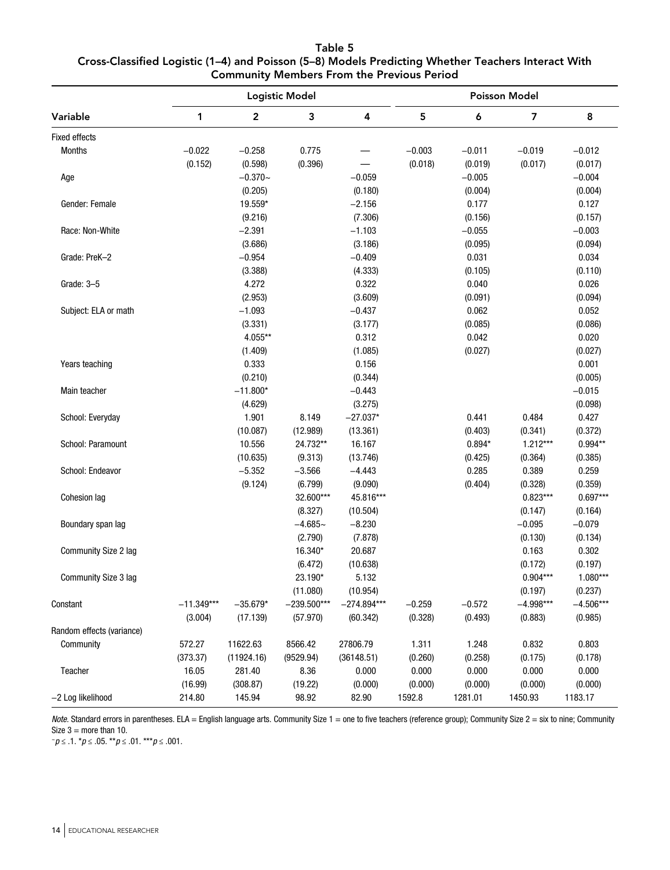|                           |              |                      | <b>Logistic Model</b> |                         | <b>Poisson Model</b> |          |             |             |  |  |
|---------------------------|--------------|----------------------|-----------------------|-------------------------|----------------------|----------|-------------|-------------|--|--|
| Variable                  | 1            | $\mathbf 2$          | 3                     | $\overline{\mathbf{4}}$ | 5                    | 6        | 7           | 8           |  |  |
| <b>Fixed effects</b>      |              |                      |                       |                         |                      |          |             |             |  |  |
| <b>Months</b>             | $-0.022$     | $-0.258$             | 0.775                 |                         | $-0.003$             | $-0.011$ | $-0.019$    | $-0.012$    |  |  |
|                           | (0.152)      | (0.598)              | (0.396)               |                         | (0.018)              | (0.019)  | (0.017)     | (0.017)     |  |  |
| Age                       |              | $-0.370-$            |                       | $-0.059$                |                      | $-0.005$ |             | $-0.004$    |  |  |
|                           |              | (0.205)              |                       | (0.180)                 |                      | (0.004)  |             | (0.004)     |  |  |
| Gender: Female            |              | 19.559*              |                       | $-2.156$                |                      | 0.177    |             | 0.127       |  |  |
|                           |              | (9.216)              |                       | (7.306)                 |                      | (0.156)  |             | (0.157)     |  |  |
| Race: Non-White           |              | $-2.391$             |                       | $-1.103$                |                      | $-0.055$ |             | $-0.003$    |  |  |
|                           |              | (3.686)              |                       | (3.186)                 |                      | (0.095)  |             | (0.094)     |  |  |
| Grade: PreK-2             |              | $-0.954$             |                       | $-0.409$                |                      | 0.031    |             | 0.034       |  |  |
|                           |              | (3.388)              |                       | (4.333)                 |                      | (0.105)  |             | (0.110)     |  |  |
| Grade: 3-5                |              | 4.272                |                       | 0.322                   |                      | 0.040    |             | 0.026       |  |  |
|                           |              | (2.953)              |                       | (3.609)                 |                      | (0.091)  |             | (0.094)     |  |  |
| Subject: ELA or math      |              | $-1.093$             |                       | $-0.437$                |                      | 0.062    |             | 0.052       |  |  |
|                           |              | (3.331)              |                       | (3.177)                 |                      | (0.085)  |             | (0.086)     |  |  |
|                           |              | 4.055**              |                       | 0.312                   |                      | 0.042    |             | 0.020       |  |  |
|                           |              | (1.409)              |                       | (1.085)                 |                      | (0.027)  |             | (0.027)     |  |  |
| Years teaching            |              | 0.333                |                       | 0.156                   |                      |          |             | 0.001       |  |  |
|                           |              | (0.210)              |                       | (0.344)                 |                      |          |             | (0.005)     |  |  |
| Main teacher              |              | $-11.800*$           |                       | $-0.443$                |                      |          |             | $-0.015$    |  |  |
|                           |              | (4.629)              |                       | (3.275)                 |                      |          |             | (0.098)     |  |  |
| School: Everyday          |              | 1.901                | 8.149                 | $-27.037*$              |                      | 0.441    | 0.484       | 0.427       |  |  |
|                           |              | (10.087)             | (12.989)              | (13.361)                |                      | (0.403)  | (0.341)     | (0.372)     |  |  |
| School: Paramount         |              | 10.556               | 24.732**              | 16.167                  |                      | $0.894*$ | $1.212***$  | $0.994**$   |  |  |
|                           |              | (10.635)             | (9.313)               | (13.746)                |                      | (0.425)  | (0.364)     | (0.385)     |  |  |
| School: Endeavor          |              | $-5.352$             | $-3.566$              | $-4.443$                |                      | 0.285    | 0.389       | 0.259       |  |  |
|                           |              | (9.124)              | (6.799)               | (9.090)                 |                      | (0.404)  | (0.328)     | (0.359)     |  |  |
| Cohesion lag              |              |                      | 32.600***             | 45.816***               |                      |          | $0.823***$  | $0.697***$  |  |  |
|                           |              |                      | (8.327)               | (10.504)                |                      |          | (0.147)     | (0.164)     |  |  |
| Boundary span lag         |              |                      | $-4.685-$             | $-8.230$                |                      |          | $-0.095$    | $-0.079$    |  |  |
|                           |              |                      | (2.790)               | (7.878)                 |                      |          | (0.130)     | (0.134)     |  |  |
| Community Size 2 lag      |              |                      | 16.340*               | 20.687                  |                      |          | 0.163       | 0.302       |  |  |
|                           |              |                      | (6.472)               | (10.638)                |                      |          | (0.172)     | (0.197)     |  |  |
| Community Size 3 lag      |              |                      | 23.190*               | 5.132                   |                      |          | $0.904***$  | $1.080***$  |  |  |
|                           |              |                      | (11.080)              | (10.954)                |                      |          | (0.197)     | (0.237)     |  |  |
| Constant                  | $-11.349***$ | $-35.679*$           | $-239.500***$         | $-274.894***$           | $-0.259$             | $-0.572$ | $-4.998***$ | $-4.506***$ |  |  |
|                           | (3.004)      | (17.139)             | (57.970)              | (60.342)                | (0.328)              | (0.493)  | (0.883)     | (0.985)     |  |  |
| Random effects (variance) |              |                      |                       |                         |                      |          |             |             |  |  |
| Community                 | 572.27       | 11622.63             | 8566.42               | 27806.79                | 1.311                | 1.248    | 0.832       | 0.803       |  |  |
|                           | (373.37)     |                      | (9529.94)             |                         | (0.260)              | (0.258)  | (0.175)     | (0.178)     |  |  |
| Teacher                   | 16.05        | (11924.16)<br>281.40 | 8.36                  | (36148.51)<br>0.000     | 0.000                | 0.000    | 0.000       | 0.000       |  |  |
|                           |              | (308.87)             |                       |                         |                      | (0.000)  |             |             |  |  |
|                           | (16.99)      |                      | (19.22)               | (0.000)                 | (0.000)              |          | (0.000)     | (0.000)     |  |  |
| -2 Log likelihood         | 214.80       | 145.94               | 98.92                 | 82.90                   | 1592.8               | 1281.01  | 1450.93     | 1183.17     |  |  |

Table 5 Cross-Classified Logistic (1–4) and Poisson (5–8) Models Predicting Whether Teachers Interact With Community Members From the Previous Period

*Note.* Standard errors in parentheses. ELA = English language arts. Community Size 1 = one to five teachers (reference group); Community Size 2 = six to nine; Community Size  $3 =$  more than 10.

<sup>~</sup>*p* ≤ .1. \**p* ≤ .05. \*\**p* ≤ .01. \*\*\**p* ≤ .001.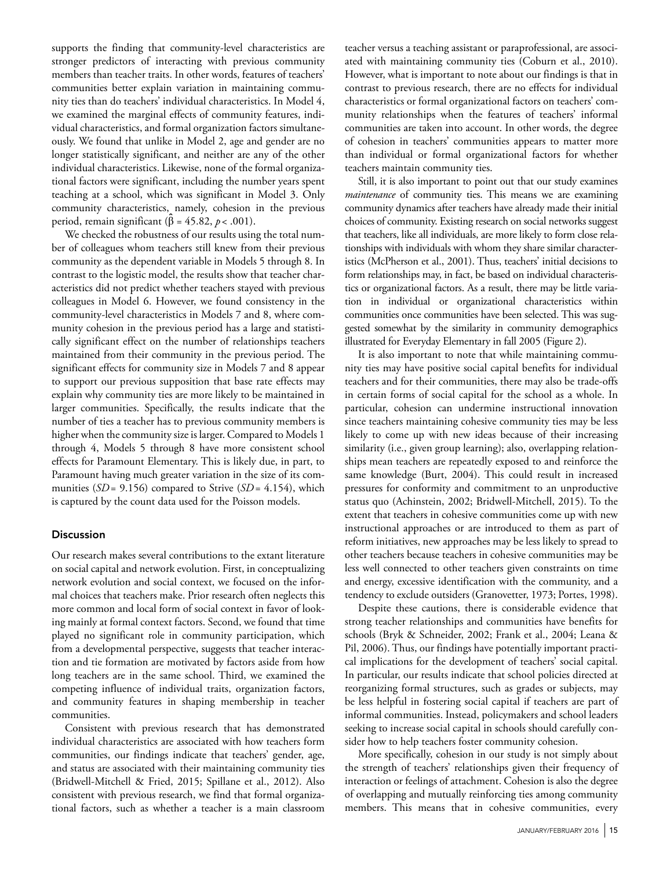supports the finding that community-level characteristics are stronger predictors of interacting with previous community members than teacher traits. In other words, features of teachers' communities better explain variation in maintaining community ties than do teachers' individual characteristics. In Model 4, we examined the marginal effects of community features, individual characteristics, and formal organization factors simultaneously. We found that unlike in Model 2, age and gender are no longer statistically significant, and neither are any of the other individual characteristics. Likewise, none of the formal organizational factors were significant, including the number years spent teaching at a school, which was significant in Model 3. Only community characteristics, namely, cohesion in the previous period, remain significant (β = 45.82,  $p < .001$ ).

We checked the robustness of our results using the total number of colleagues whom teachers still knew from their previous community as the dependent variable in Models 5 through 8. In contrast to the logistic model, the results show that teacher characteristics did not predict whether teachers stayed with previous colleagues in Model 6. However, we found consistency in the community-level characteristics in Models 7 and 8, where community cohesion in the previous period has a large and statistically significant effect on the number of relationships teachers maintained from their community in the previous period. The significant effects for community size in Models 7 and 8 appear to support our previous supposition that base rate effects may explain why community ties are more likely to be maintained in larger communities. Specifically, the results indicate that the number of ties a teacher has to previous community members is higher when the community size is larger. Compared to Models 1 through 4, Models 5 through 8 have more consistent school effects for Paramount Elementary. This is likely due, in part, to Paramount having much greater variation in the size of its communities (*SD*= 9.156) compared to Strive (*SD*= 4.154), which is captured by the count data used for the Poisson models.

#### Discussion

Our research makes several contributions to the extant literature on social capital and network evolution. First, in conceptualizing network evolution and social context, we focused on the informal choices that teachers make. Prior research often neglects this more common and local form of social context in favor of looking mainly at formal context factors. Second, we found that time played no significant role in community participation, which from a developmental perspective, suggests that teacher interaction and tie formation are motivated by factors aside from how long teachers are in the same school. Third, we examined the competing influence of individual traits, organization factors, and community features in shaping membership in teacher communities.

Consistent with previous research that has demonstrated individual characteristics are associated with how teachers form communities, our findings indicate that teachers' gender, age, and status are associated with their maintaining community ties (Bridwell-Mitchell & Fried, 2015; Spillane et al., 2012). Also consistent with previous research, we find that formal organizational factors, such as whether a teacher is a main classroom

teacher versus a teaching assistant or paraprofessional, are associated with maintaining community ties (Coburn et al., 2010). However, what is important to note about our findings is that in contrast to previous research, there are no effects for individual characteristics or formal organizational factors on teachers' community relationships when the features of teachers' informal communities are taken into account. In other words, the degree of cohesion in teachers' communities appears to matter more than individual or formal organizational factors for whether teachers maintain community ties.

Still, it is also important to point out that our study examines *maintenance* of community ties. This means we are examining community dynamics after teachers have already made their initial choices of community. Existing research on social networks suggest that teachers, like all individuals, are more likely to form close relationships with individuals with whom they share similar characteristics (McPherson et al., 2001). Thus, teachers' initial decisions to form relationships may, in fact, be based on individual characteristics or organizational factors. As a result, there may be little variation in individual or organizational characteristics within communities once communities have been selected. This was suggested somewhat by the similarity in community demographics illustrated for Everyday Elementary in fall 2005 (Figure 2).

It is also important to note that while maintaining community ties may have positive social capital benefits for individual teachers and for their communities, there may also be trade-offs in certain forms of social capital for the school as a whole. In particular, cohesion can undermine instructional innovation since teachers maintaining cohesive community ties may be less likely to come up with new ideas because of their increasing similarity (i.e., given group learning); also, overlapping relationships mean teachers are repeatedly exposed to and reinforce the same knowledge (Burt, 2004). This could result in increased pressures for conformity and commitment to an unproductive status quo (Achinstein, 2002; Bridwell-Mitchell, 2015). To the extent that teachers in cohesive communities come up with new instructional approaches or are introduced to them as part of reform initiatives, new approaches may be less likely to spread to other teachers because teachers in cohesive communities may be less well connected to other teachers given constraints on time and energy, excessive identification with the community, and a tendency to exclude outsiders (Granovetter, 1973; Portes, 1998).

Despite these cautions, there is considerable evidence that strong teacher relationships and communities have benefits for schools (Bryk & Schneider, 2002; Frank et al., 2004; Leana & Pil, 2006). Thus, our findings have potentially important practical implications for the development of teachers' social capital. In particular, our results indicate that school policies directed at reorganizing formal structures, such as grades or subjects, may be less helpful in fostering social capital if teachers are part of informal communities. Instead, policymakers and school leaders seeking to increase social capital in schools should carefully consider how to help teachers foster community cohesion.

More specifically, cohesion in our study is not simply about the strength of teachers' relationships given their frequency of interaction or feelings of attachment. Cohesion is also the degree of overlapping and mutually reinforcing ties among community members. This means that in cohesive communities, every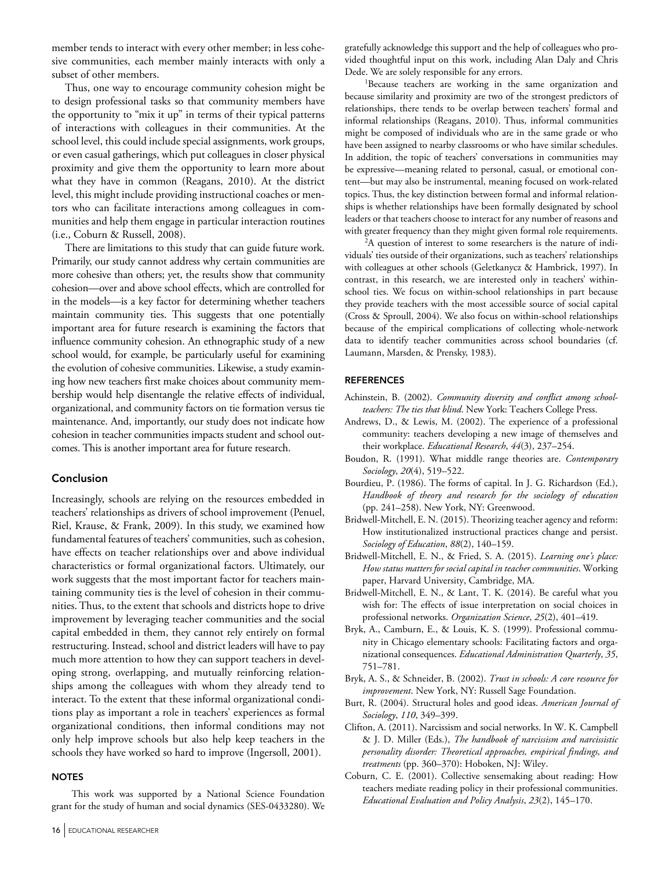member tends to interact with every other member; in less cohesive communities, each member mainly interacts with only a subset of other members.

Thus, one way to encourage community cohesion might be to design professional tasks so that community members have the opportunity to "mix it up" in terms of their typical patterns of interactions with colleagues in their communities. At the school level, this could include special assignments, work groups, or even casual gatherings, which put colleagues in closer physical proximity and give them the opportunity to learn more about what they have in common (Reagans, 2010). At the district level, this might include providing instructional coaches or mentors who can facilitate interactions among colleagues in communities and help them engage in particular interaction routines (i.e., Coburn & Russell, 2008).

There are limitations to this study that can guide future work. Primarily, our study cannot address why certain communities are more cohesive than others; yet, the results show that community cohesion—over and above school effects, which are controlled for in the models—is a key factor for determining whether teachers maintain community ties. This suggests that one potentially important area for future research is examining the factors that influence community cohesion. An ethnographic study of a new school would, for example, be particularly useful for examining the evolution of cohesive communities. Likewise, a study examining how new teachers first make choices about community membership would help disentangle the relative effects of individual, organizational, and community factors on tie formation versus tie maintenance. And, importantly, our study does not indicate how cohesion in teacher communities impacts student and school outcomes. This is another important area for future research.

## Conclusion

Increasingly, schools are relying on the resources embedded in teachers' relationships as drivers of school improvement (Penuel, Riel, Krause, & Frank, 2009). In this study, we examined how fundamental features of teachers' communities, such as cohesion, have effects on teacher relationships over and above individual characteristics or formal organizational factors. Ultimately, our work suggests that the most important factor for teachers maintaining community ties is the level of cohesion in their communities. Thus, to the extent that schools and districts hope to drive improvement by leveraging teacher communities and the social capital embedded in them, they cannot rely entirely on formal restructuring. Instead, school and district leaders will have to pay much more attention to how they can support teachers in developing strong, overlapping, and mutually reinforcing relationships among the colleagues with whom they already tend to interact. To the extent that these informal organizational conditions play as important a role in teachers' experiences as formal organizational conditions, then informal conditions may not only help improve schools but also help keep teachers in the schools they have worked so hard to improve (Ingersoll, 2001).

#### **NOTES**

This work was supported by a National Science Foundation grant for the study of human and social dynamics (SES-0433280). We gratefully acknowledge this support and the help of colleagues who provided thoughtful input on this work, including Alan Daly and Chris Dede. We are solely responsible for any errors.

1 Because teachers are working in the same organization and because similarity and proximity are two of the strongest predictors of relationships, there tends to be overlap between teachers' formal and informal relationships (Reagans, 2010). Thus, informal communities might be composed of individuals who are in the same grade or who have been assigned to nearby classrooms or who have similar schedules. In addition, the topic of teachers' conversations in communities may be expressive—meaning related to personal, casual, or emotional content—but may also be instrumental, meaning focused on work-related topics. Thus, the key distinction between formal and informal relationships is whether relationships have been formally designated by school leaders or that teachers choose to interact for any number of reasons and with greater frequency than they might given formal role requirements.

<sup>2</sup>A question of interest to some researchers is the nature of individuals' ties outside of their organizations, such as teachers' relationships with colleagues at other schools (Geletkanycz & Hambrick, 1997). In contrast, in this research, we are interested only in teachers' withinschool ties. We focus on within-school relationships in part because they provide teachers with the most accessible source of social capital (Cross & Sproull, 2004). We also focus on within-school relationships because of the empirical complications of collecting whole-network data to identify teacher communities across school boundaries (cf. Laumann, Marsden, & Prensky, 1983).

#### **REFERENCES**

- Achinstein, B. (2002). *Community diversity and conflict among schoolteachers: The ties that blind*. New York: Teachers College Press.
- Andrews, D., & Lewis, M. (2002). The experience of a professional community: teachers developing a new image of themselves and their workplace. *Educational Research*, *44*(3), 237–254.
- Boudon, R. (1991). What middle range theories are. *Contemporary Sociology*, *20*(4), 519–522.
- Bourdieu, P. (1986). The forms of capital. In J. G. Richardson (Ed.), *Handbook of theory and research for the sociology of education* (pp. 241–258). New York, NY: Greenwood.
- Bridwell-Mitchell, E. N. (2015). Theorizing teacher agency and reform: How institutionalized instructional practices change and persist. *Sociology of Education*, *88*(2), 140–159.
- Bridwell-Mitchell, E. N., & Fried, S. A. (2015). *Learning one's place: How status matters for social capital in teacher communities*. Working paper, Harvard University, Cambridge, MA.
- Bridwell-Mitchell, E. N., & Lant, T. K. (2014). Be careful what you wish for: The effects of issue interpretation on social choices in professional networks. *Organization Science*, *25*(2), 401–419.
- Bryk, A., Camburn, E., & Louis, K. S. (1999). Professional community in Chicago elementary schools: Facilitating factors and organizational consequences. *Educational Administration Quarterly*, *35*, 751–781.
- Bryk, A. S., & Schneider, B. (2002). *Trust in schools: A core resource for improvement*. New York, NY: Russell Sage Foundation.
- Burt, R. (2004). Structural holes and good ideas. *American Journal of Sociology*, *110*, 349–399.
- Clifton, A. (2011). Narcissism and social networks. In W. K. Campbell & J. D. Miller (Eds.), *The handbook of narcissism and narcissistic personality disorder: Theoretical approaches, empirical findings, and treatments* (pp. 360–370): Hoboken, NJ: Wiley.
- Coburn, C. E. (2001). Collective sensemaking about reading: How teachers mediate reading policy in their professional communities. *Educational Evaluation and Policy Analysis*, *23*(2), 145–170.